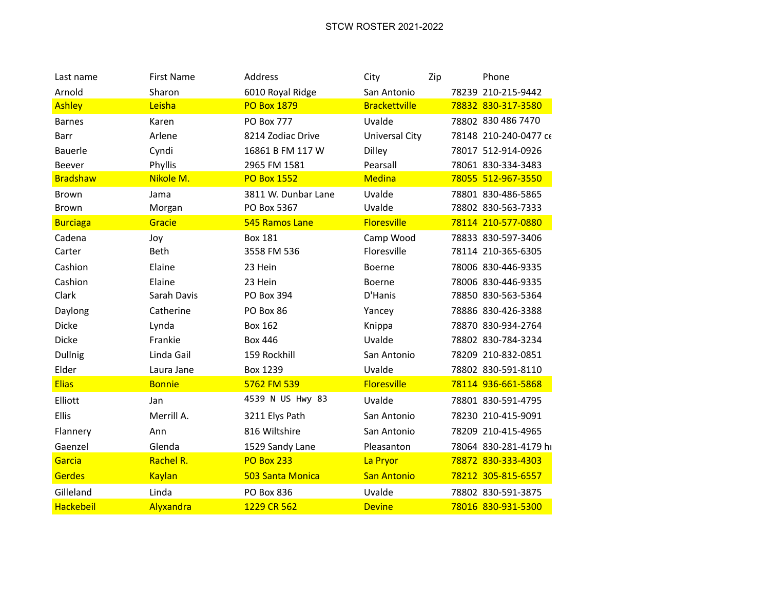| Last name        | <b>First Name</b> | Address             | City                 | Zip | Phone                 |
|------------------|-------------------|---------------------|----------------------|-----|-----------------------|
| Arnold           | Sharon            | 6010 Royal Ridge    | San Antonio          |     | 78239 210-215-9442    |
| <b>Ashley</b>    | Leisha            | <b>PO Box 1879</b>  | <b>Brackettville</b> |     | 78832 830-317-3580    |
| <b>Barnes</b>    | Karen             | <b>PO Box 777</b>   | Uvalde               |     | 78802 830 486 7470    |
| Barr             | Arlene            | 8214 Zodiac Drive   | Universal City       |     | 78148 210-240-0477 CE |
| <b>Bauerle</b>   | Cyndi             | 16861 B FM 117 W    | <b>Dilley</b>        |     | 78017 512-914-0926    |
| Beever           | Phyllis           | 2965 FM 1581        | Pearsall             |     | 78061 830-334-3483    |
| <b>Bradshaw</b>  | Nikole M.         | <b>PO Box 1552</b>  | <b>Medina</b>        |     | 78055 512-967-3550    |
| Brown            | Jama              | 3811 W. Dunbar Lane | Uvalde               |     | 78801 830-486-5865    |
| Brown            | Morgan            | PO Box 5367         | Uvalde               |     | 78802 830-563-7333    |
| <b>Burciaga</b>  | Gracie            | 545 Ramos Lane      | <b>Floresville</b>   |     | 78114 210-577-0880    |
| Cadena           | Joy               | <b>Box 181</b>      | Camp Wood            |     | 78833 830-597-3406    |
| Carter           | <b>Beth</b>       | 3558 FM 536         | Floresville          |     | 78114 210-365-6305    |
| Cashion          | Elaine            | 23 Hein             | Boerne               |     | 78006 830-446-9335    |
| Cashion          | Elaine            | 23 Hein             | Boerne               |     | 78006 830-446-9335    |
| Clark            | Sarah Davis       | PO Box 394          | D'Hanis              |     | 78850 830-563-5364    |
| Daylong          | Catherine         | PO Box 86           | Yancey               |     | 78886 830-426-3388    |
| Dicke            | Lynda             | <b>Box 162</b>      | Knippa               |     | 78870 830-934-2764    |
| <b>Dicke</b>     | Frankie           | <b>Box 446</b>      | Uvalde               |     | 78802 830-784-3234    |
| <b>Dullnig</b>   | Linda Gail        | 159 Rockhill        | San Antonio          |     | 78209 210-832-0851    |
| Elder            | Laura Jane        | <b>Box 1239</b>     | Uvalde               |     | 78802 830-591-8110    |
| <b>Elias</b>     | <b>Bonnie</b>     | 5762 FM 539         | <b>Floresville</b>   |     | 78114 936-661-5868    |
| Elliott          | Jan               | 4539 N US Hwy 83    | Uvalde               |     | 78801 830-591-4795    |
| Ellis            | Merrill A.        | 3211 Elys Path      | San Antonio          |     | 78230 210-415-9091    |
| Flannery         | Ann               | 816 Wiltshire       | San Antonio          |     | 78209 210-415-4965    |
| Gaenzel          | Glenda            | 1529 Sandy Lane     | Pleasanton           |     | 78064 830-281-4179 hi |
| Garcia           | Rachel R.         | <b>PO Box 233</b>   | La Pryor             |     | 78872 830-333-4303    |
| <b>Gerdes</b>    | <b>Kaylan</b>     | 503 Santa Monica    | <b>San Antonio</b>   |     | 78212 305-815-6557    |
| Gilleland        | Linda             | PO Box 836          | Uvalde               |     | 78802 830-591-3875    |
| <b>Hackebeil</b> | Alyxandra         | 1229 CR 562         | <b>Devine</b>        |     | 78016 830-931-5300    |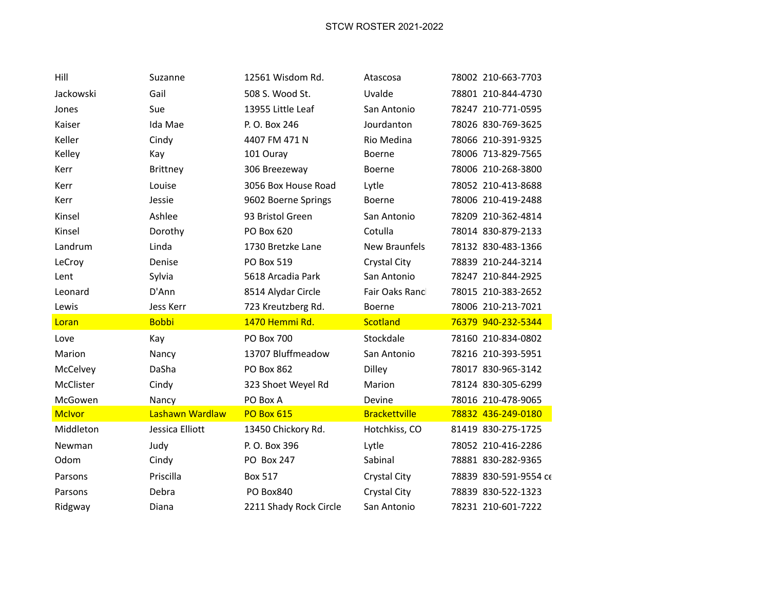| Hill          | Suzanne         | 12561 Wisdom Rd.       | Atascosa             | 78002 210-663-7703    |
|---------------|-----------------|------------------------|----------------------|-----------------------|
| Jackowski     | Gail            | 508 S. Wood St.        | Uvalde               | 78801 210-844-4730    |
| Jones         | Sue             | 13955 Little Leaf      | San Antonio          | 78247 210-771-0595    |
| Kaiser        | Ida Mae         | P. O. Box 246          | Jourdanton           | 78026 830-769-3625    |
| Keller        | Cindy           | 4407 FM 471 N          | Rio Medina           | 78066 210-391-9325    |
| Kelley        | Kay             | 101 Ouray              | Boerne               | 78006 713-829-7565    |
| Kerr          | Brittney        | 306 Breezeway          | Boerne               | 78006 210-268-3800    |
| Kerr          | Louise          | 3056 Box House Road    | Lytle                | 78052 210-413-8688    |
| Kerr          | Jessie          | 9602 Boerne Springs    | Boerne               | 78006 210-419-2488    |
| Kinsel        | Ashlee          | 93 Bristol Green       | San Antonio          | 78209 210-362-4814    |
| Kinsel        | Dorothy         | PO Box 620             | Cotulla              | 78014 830-879-2133    |
| Landrum       | Linda           | 1730 Bretzke Lane      | <b>New Braunfels</b> | 78132 830-483-1366    |
| LeCroy        | Denise          | PO Box 519             | Crystal City         | 78839 210-244-3214    |
| Lent          | Sylvia          | 5618 Arcadia Park      | San Antonio          | 78247 210-844-2925    |
| Leonard       | D'Ann           | 8514 Alydar Circle     | Fair Oaks Ranc       | 78015 210-383-2652    |
| Lewis         | Jess Kerr       | 723 Kreutzberg Rd.     | Boerne               | 78006 210-213-7021    |
| Loran         | <b>Bobbi</b>    | 1470 Hemmi Rd.         | Scotland             | 76379 940-232-5344    |
| Love          | Kay             | <b>PO Box 700</b>      | Stockdale            | 78160 210-834-0802    |
| Marion        | Nancy           | 13707 Bluffmeadow      | San Antonio          | 78216 210-393-5951    |
| McCelvey      | DaSha           | PO Box 862             | Dilley               | 78017 830-965-3142    |
| McClister     | Cindy           | 323 Shoet Weyel Rd     | Marion               | 78124 830-305-6299    |
| McGowen       | Nancy           | PO Box A               | Devine               | 78016 210-478-9065    |
| <b>McIvor</b> | Lashawn Wardlaw | <b>PO Box 615</b>      | <b>Brackettville</b> | 78832 436-249-0180    |
| Middleton     | Jessica Elliott | 13450 Chickory Rd.     | Hotchkiss, CO        | 81419 830-275-1725    |
| Newman        | Judy            | P. O. Box 396          | Lytle                | 78052 210-416-2286    |
| Odom          | Cindy           | PO Box 247             | Sabinal              | 78881 830-282-9365    |
| Parsons       | Priscilla       | <b>Box 517</b>         | Crystal City         | 78839 830-591-9554 CE |
| Parsons       | Debra           | PO Box840              | Crystal City         | 78839 830-522-1323    |
| Ridgway       | Diana           | 2211 Shady Rock Circle | San Antonio          | 78231 210-601-7222    |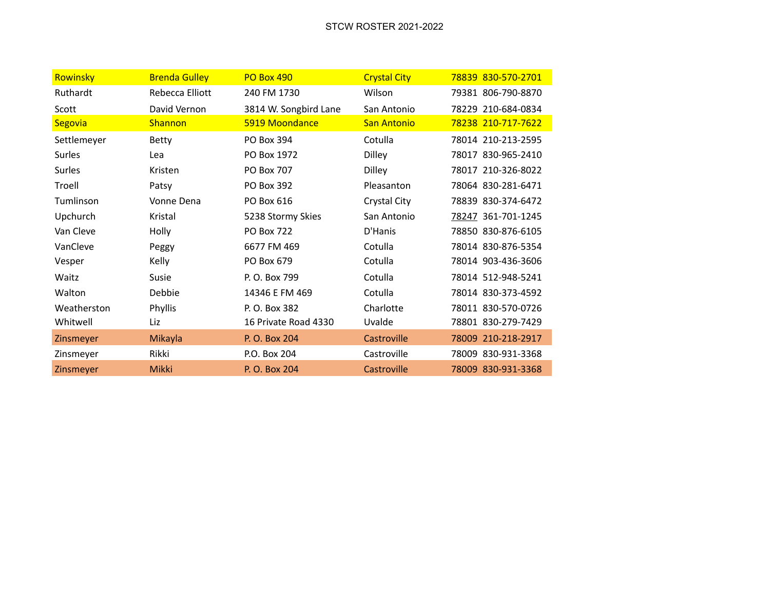| Rowinsky      | <b>Brenda Gulley</b> | <b>PO Box 490</b>     | <b>Crystal City</b> | 78839 830-570-2701 |
|---------------|----------------------|-----------------------|---------------------|--------------------|
| Ruthardt      | Rebecca Elliott      | 240 FM 1730           | Wilson              | 79381 806-790-8870 |
| Scott         | David Vernon         | 3814 W. Songbird Lane | San Antonio         | 78229 210-684-0834 |
| Segovia       | <b>Shannon</b>       | 5919 Moondance        | <b>San Antonio</b>  | 78238 210-717-7622 |
| Settlemeyer   | <b>Betty</b>         | PO Box 394            | Cotulla             | 78014 210-213-2595 |
| <b>Surles</b> | Lea                  | PO Box 1972           | <b>Dilley</b>       | 78017 830-965-2410 |
| Surles        | Kristen              | PO Box 707            | Dilley              | 78017 210-326-8022 |
| Troell        | Patsy                | PO Box 392            | Pleasanton          | 78064 830-281-6471 |
| Tumlinson     | Vonne Dena           | PO Box 616            | Crystal City        | 78839 830-374-6472 |
| Upchurch      | Kristal              | 5238 Stormy Skies     | San Antonio         | 78247 361-701-1245 |
| Van Cleve     | Holly                | <b>PO Box 722</b>     | D'Hanis             | 78850 830-876-6105 |
| VanCleve      | Peggy                | 6677 FM 469           | Cotulla             | 78014 830-876-5354 |
| Vesper        | Kelly                | PO Box 679            | Cotulla             | 78014 903-436-3606 |
| Waitz         | Susie                | P. O. Box 799         | Cotulla             | 78014 512-948-5241 |
| Walton        | Debbie               | 14346 E FM 469        | Cotulla             | 78014 830-373-4592 |
| Weatherston   | Phyllis              | P. O. Box 382         | Charlotte           | 78011 830-570-0726 |
| Whitwell      | Liz                  | 16 Private Road 4330  | Uvalde              | 78801 830-279-7429 |
| Zinsmeyer     | Mikayla              | P. O. Box 204         | Castroville         | 78009 210-218-2917 |
| Zinsmeyer     | Rikki                | P.O. Box 204          | Castroville         | 78009 830-931-3368 |
| Zinsmeyer     | <b>Mikki</b>         | P. O. Box 204         | Castroville         | 78009 830-931-3368 |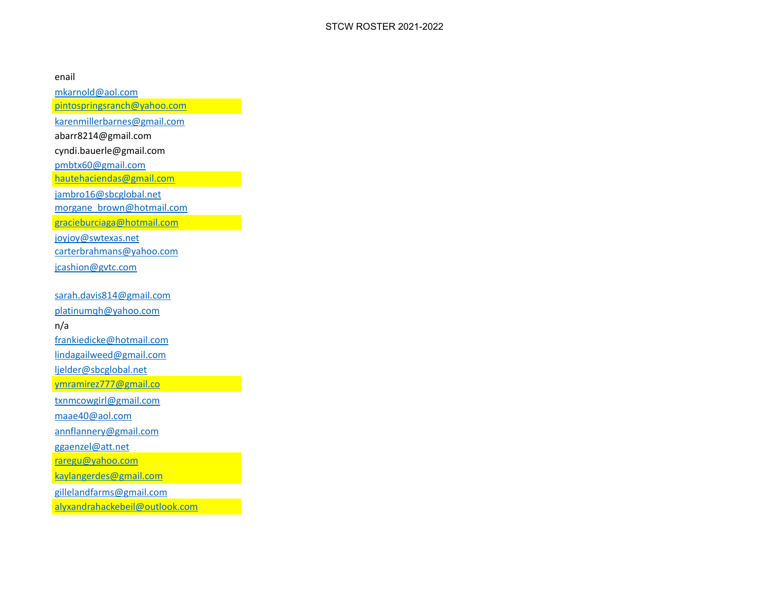## enail

[mkarnold@aol.com](mailto:mkarnold@aol.com)

[pintospringsranch@yahoo.com](mailto:pintospringsranch@yahoo.com)

[karenmillerbarnes@gmail.com](mailto:karenmillerbarnes@gmail.com)

abarr8214@gmail.com

cyndi.bauerle@gmail.com

[pmbtx60@gmail.com](mailto:pmbtx60@gmail.com)

[hautehaciendas@gmail.com](mailto:hautehaciendas@gmail.com)

[jambro16@sbcglobal.net](mailto:jambro16@sbcglobal.net)

[morgane\\_brown@hotmail.com](mailto:morgane_brown@hotmail.com)

[gracieburciaga@hotmail.com](mailto:gracieburciaga@hotmail.com)

[joyjoy@swtexas.net](mailto:joyjoy@swtexas.net)

[carterbrahmans@yahoo.com](mailto:carterbrahmans@yahoo.com)

[jcashion@gvtc.com](mailto:jcashion@gvtc.com)

[sarah.davis814@gmail.com](mailto:sarah.davis814@gmail.com)

[platinumqh@yahoo.com](mailto:platinumqh@yahoo.com)

n/a

[frankiedicke@hotmail.com](mailto:frankiedicke@hotmail.com)

[lindagailweed@gmail.com](mailto:lindagailweed@gmail.com)

[ljelder@sbcglobal.net](mailto:ljelder@sbcglobal.net)

[ymramirez777@gmail.co](mailto:ymramirez777@gmail.co)

[txnmcowgirl@gmail.com](mailto:txnmcowgirl@gmail.com)

[maae40@aol.com](mailto:maae40@aol.com)

[annflannery@gmail.com](mailto:annflannery@gmail.com)

[ggaenzel@att.net](mailto:ggaenzel@att.net)

[raregu@yahoo.com](mailto:raregu@yahoo.com)

[kaylangerdes@gmail.com](mailto:kaylangerdes@gmail.com)

[gillelandfarms@gmail.com](mailto:gillelandfarms@gmail.com)

[alyxandrahackebeil@outlook.com](mailto:alyxandrahackebeil@outlook.com)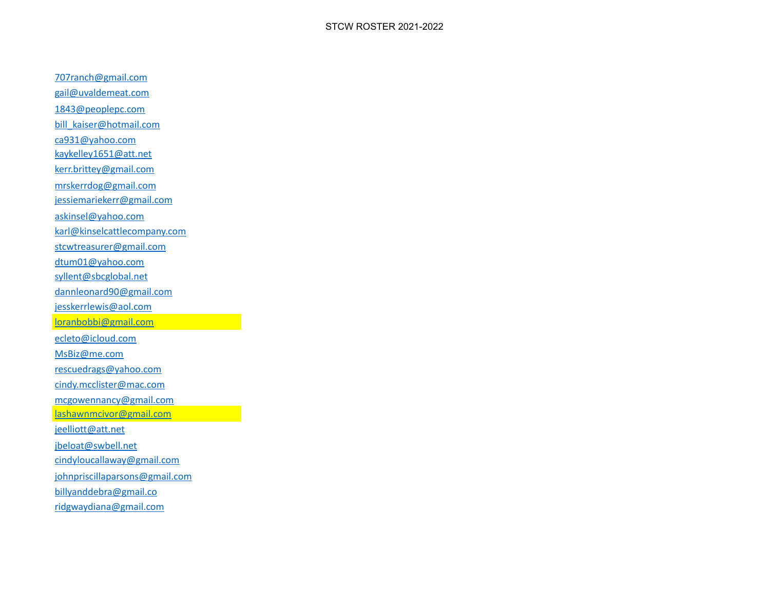[707ranch@gmail.com](mailto:707ranch@gmail.com) [gail@uvaldemeat.com](mailto:gail@uvaldemeat.com) [1843@peoplepc.com](mailto:1843@peoplepc.com) [bill\\_kaiser@hotmail.com](mailto:bill_kaiser@hotmail.com) [ca931@yahoo.com](mailto:ca931@yahoo.com) [kaykelley1651@att.net](mailto:kaykelley1651@att.net) [kerr.brittey@gmail.com](mailto:kerr.brittey@gmail.com) [mrskerrdog@gmail.com](mailto:mrskerrdog@gmail.com) [jessiemariekerr@gmail.com](mailto:jessiemariekerr@gmail.com) [askinsel@yahoo.com](mailto:askinsel@yahoo.com) [karl@kinselcattlecompany.com](mailto:karl@kinselcattlecompany.com) [stcwtreasurer@gmail.com](mailto:stcwtreasurer@gmail.com) [dtum01@yahoo.com](mailto:dtum01@yahoo.com) [syllent@sbcglobal.net](mailto:syllent@sbcglobal.net) [dannleonard90@gmail.com](mailto:dannleonard90@gmail.com) [jesskerrlewis@aol.com](mailto:jesskerrlewis@aol.com) [loranbobbi@gmail.com](mailto:loranbobbi@gmail.com) [ecleto@icloud.com](mailto:ecleto@icloud.com) [MsBiz@me.com](mailto:MsBiz@me.com) [rescuedrags@yahoo.com](mailto:rescuedrags@yahoo.com) [cindy.mcclister@mac.com](mailto:cindy.mcclister@mac.com) [mcgowennancy@gmail.com](mailto:mcgowennancy@gmail.com) [lashawnmcivor@gmail.com](mailto:lashawnmcivor@gmail.com) [jeelliott@att.net](mailto:jeelliott@att.net) [jbeloat@swbell.net](mailto:jbeloat@swbell.net) [cindyloucallaway@gmail.com](mailto:cindyloucallaway@gmail.com) [johnpriscillaparsons@gmail.com](mailto:johnpriscillaparsons@gmail.com) [billyanddebra@gmail.co](mailto:billyanddebra@gmail.co) [ridgwaydiana@gmail.com](mailto:ridgwaydiana@gmail.com)